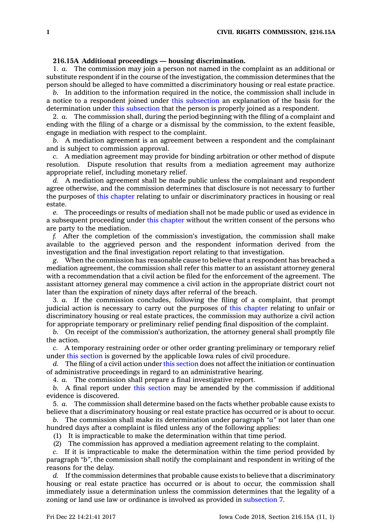## **216.15A Additional proceedings — housing discrimination.**

1. *a.* The commission may join <sup>a</sup> person not named in the complaint as an additional or substitute respondent if in the course of the investigation, the commission determines that the person should be alleged to have committed <sup>a</sup> discriminatory housing or real estate practice.

*b.* In addition to the information required in the notice, the commission shall include in <sup>a</sup> notice to <sup>a</sup> respondent joined under this [subsection](https://www.legis.iowa.gov/docs/code/216.15A.pdf) an explanation of the basis for the determination under this [subsection](https://www.legis.iowa.gov/docs/code/216.15A.pdf) that the person is properly joined as a respondent.

2. *a.* The commission shall, during the period beginning with the filing of <sup>a</sup> complaint and ending with the filing of <sup>a</sup> charge or <sup>a</sup> dismissal by the commission, to the extent feasible, engage in mediation with respect to the complaint.

*b.* A mediation agreement is an agreement between <sup>a</sup> respondent and the complainant and is subject to commission approval.

*c.* A mediation agreement may provide for binding arbitration or other method of dispute resolution. Dispute resolution that results from <sup>a</sup> mediation agreement may authorize appropriate relief, including monetary relief.

*d.* A mediation agreement shall be made public unless the complainant and respondent agree otherwise, and the commission determines that disclosure is not necessary to further the purposes of this [chapter](https://www.legis.iowa.gov/docs/code//216.pdf) relating to unfair or discriminatory practices in housing or real estate.

*e.* The proceedings or results of mediation shall not be made public or used as evidence in <sup>a</sup> subsequent proceeding under this [chapter](https://www.legis.iowa.gov/docs/code//216.pdf) without the written consent of the persons who are party to the mediation.

*f.* After the completion of the commission's investigation, the commission shall make available to the aggrieved person and the respondent information derived from the investigation and the final investigation report relating to that investigation.

*g.* When the commission has reasonable cause to believe that <sup>a</sup> respondent has breached <sup>a</sup> mediation agreement, the commission shall refer this matter to an assistant attorney general with <sup>a</sup> recommendation that <sup>a</sup> civil action be filed for the enforcement of the agreement. The assistant attorney general may commence <sup>a</sup> civil action in the appropriate district court not later than the expiration of ninety days after referral of the breach.

3. *a.* If the commission concludes, following the filing of <sup>a</sup> complaint, that prompt judicial action is necessary to carry out the purposes of this [chapter](https://www.legis.iowa.gov/docs/code//216.pdf) relating to unfair or discriminatory housing or real estate practices, the commission may authorize <sup>a</sup> civil action for appropriate temporary or preliminary relief pending final disposition of the complaint.

*b.* On receipt of the commission's authorization, the attorney general shall promptly file the action.

*c.* A temporary restraining order or other order granting preliminary or temporary relief under this [section](https://www.legis.iowa.gov/docs/code/216.15A.pdf) is governed by the applicable Iowa rules of civil procedure.

*d.* The filing of <sup>a</sup> civil action under this [section](https://www.legis.iowa.gov/docs/code/216.15A.pdf) does not affect the initiation or continuation of administrative proceedings in regard to an administrative hearing.

4. *a.* The commission shall prepare <sup>a</sup> final investigative report.

*b.* A final report under this [section](https://www.legis.iowa.gov/docs/code/216.15A.pdf) may be amended by the commission if additional evidence is discovered.

5. *a.* The commission shall determine based on the facts whether probable cause exists to believe that <sup>a</sup> discriminatory housing or real estate practice has occurred or is about to occur.

*b.* The commission shall make its determination under paragraph *"a"* not later than one hundred days after <sup>a</sup> complaint is filed unless any of the following applies:

(1) It is impracticable to make the determination within that time period.

(2) The commission has approved <sup>a</sup> mediation agreement relating to the complaint.

*c.* If it is impracticable to make the determination within the time period provided by paragraph *"b"*, the commission shall notify the complainant and respondent in writing of the reasons for the delay.

*d.* If the commission determines that probable cause exists to believe that <sup>a</sup> discriminatory housing or real estate practice has occurred or is about to occur, the commission shall immediately issue <sup>a</sup> determination unless the commission determines that the legality of <sup>a</sup> zoning or land use law or ordinance is involved as provided in [subsection](https://www.legis.iowa.gov/docs/code/216.15A.pdf) 7.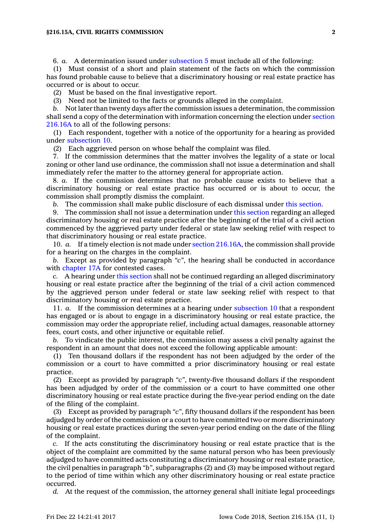## **§216.15A, CIVIL RIGHTS COMMISSION 2**

6. *a.* A determination issued under [subsection](https://www.legis.iowa.gov/docs/code/216.15A.pdf) 5 must include all of the following:

(1) Must consist of <sup>a</sup> short and plain statement of the facts on which the commission has found probable cause to believe that <sup>a</sup> discriminatory housing or real estate practice has occurred or is about to occur.

(2) Must be based on the final investigative report.

(3) Need not be limited to the facts or grounds alleged in the complaint.

*b.* Not later than twenty days after the commission issues <sup>a</sup> determination, the commission shall send <sup>a</sup> copy of the determination with information concerning the election under [section](https://www.legis.iowa.gov/docs/code/216.16A.pdf) [216.16A](https://www.legis.iowa.gov/docs/code/216.16A.pdf) to all of the following persons:

(1) Each respondent, together with <sup>a</sup> notice of the opportunity for <sup>a</sup> hearing as provided under [subsection](https://www.legis.iowa.gov/docs/code/216.15A.pdf) 10.

(2) Each aggrieved person on whose behalf the complaint was filed.

7. If the commission determines that the matter involves the legality of <sup>a</sup> state or local zoning or other land use ordinance, the commission shall not issue <sup>a</sup> determination and shall immediately refer the matter to the attorney general for appropriate action.

8. *a.* If the commission determines that no probable cause exists to believe that <sup>a</sup> discriminatory housing or real estate practice has occurred or is about to occur, the commission shall promptly dismiss the complaint.

*b.* The commission shall make public disclosure of each dismissal under this [section](https://www.legis.iowa.gov/docs/code/216.15A.pdf).

9. The commission shall not issue <sup>a</sup> determination under this [section](https://www.legis.iowa.gov/docs/code/216.15A.pdf) regarding an alleged discriminatory housing or real estate practice after the beginning of the trial of <sup>a</sup> civil action commenced by the aggrieved party under federal or state law seeking relief with respect to that discriminatory housing or real estate practice.

10. *a.* If <sup>a</sup> timely election is not made under section [216.16A](https://www.legis.iowa.gov/docs/code/216.16A.pdf), the commission shall provide for <sup>a</sup> hearing on the charges in the complaint.

*b.* Except as provided by paragraph *"c"*, the hearing shall be conducted in accordance with [chapter](https://www.legis.iowa.gov/docs/code//17A.pdf) 17A for contested cases.

*c.* A hearing under this [section](https://www.legis.iowa.gov/docs/code/216.15A.pdf) shall not be continued regarding an alleged discriminatory housing or real estate practice after the beginning of the trial of <sup>a</sup> civil action commenced by the aggrieved person under federal or state law seeking relief with respect to that discriminatory housing or real estate practice.

11. *a.* If the commission determines at <sup>a</sup> hearing under [subsection](https://www.legis.iowa.gov/docs/code/216.15A.pdf) 10 that <sup>a</sup> respondent has engaged or is about to engage in <sup>a</sup> discriminatory housing or real estate practice, the commission may order the appropriate relief, including actual damages, reasonable attorney fees, court costs, and other injunctive or equitable relief.

*b.* To vindicate the public interest, the commission may assess <sup>a</sup> civil penalty against the respondent in an amount that does not exceed the following applicable amount:

(1) Ten thousand dollars if the respondent has not been adjudged by the order of the commission or <sup>a</sup> court to have committed <sup>a</sup> prior discriminatory housing or real estate practice.

(2) Except as provided by paragraph *"c"*, twenty-five thousand dollars if the respondent has been adjudged by order of the commission or <sup>a</sup> court to have committed one other discriminatory housing or real estate practice during the five-year period ending on the date of the filing of the complaint.

(3) Except as provided by paragraph *"c"*, fifty thousand dollars if the respondent has been adjudged by order of the commission or <sup>a</sup> court to have committed two or more discriminatory housing or real estate practices during the seven-year period ending on the date of the filing of the complaint.

*c.* If the acts constituting the discriminatory housing or real estate practice that is the object of the complaint are committed by the same natural person who has been previously adjudged to have committed acts constituting <sup>a</sup> discriminatory housing or real estate practice, the civil penalties in paragraph *"b"*, subparagraphs (2) and (3) may be imposed without regard to the period of time within which any other discriminatory housing or real estate practice occurred.

*d.* At the request of the commission, the attorney general shall initiate legal proceedings